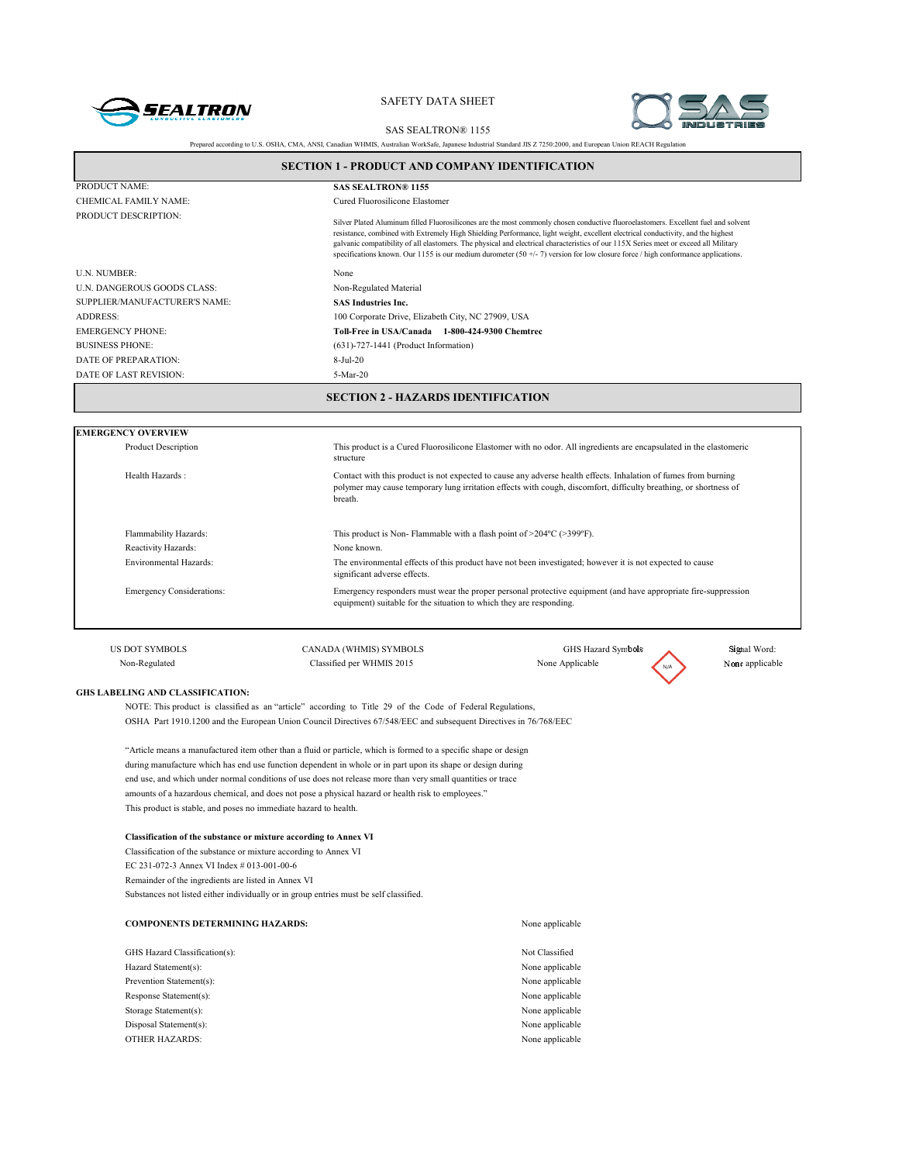



SAS SEALTRON® 1155

| Prepared according to U.S. OSHA, CMA, ANSI, Canadian WHMIS, Australian WorkSafe, Japanese Industrial Standard JIS Z 7250:2000, and European Union REACH Regulation |                                                                                                                                                                                                                                                 |                                                                                                                                                                                                                                                                                                                                                                                                                                                                                                                                                     |                 |  |  |
|--------------------------------------------------------------------------------------------------------------------------------------------------------------------|-------------------------------------------------------------------------------------------------------------------------------------------------------------------------------------------------------------------------------------------------|-----------------------------------------------------------------------------------------------------------------------------------------------------------------------------------------------------------------------------------------------------------------------------------------------------------------------------------------------------------------------------------------------------------------------------------------------------------------------------------------------------------------------------------------------------|-----------------|--|--|
| <b>SECTION 1 - PRODUCT AND COMPANY IDENTIFICATION</b>                                                                                                              |                                                                                                                                                                                                                                                 |                                                                                                                                                                                                                                                                                                                                                                                                                                                                                                                                                     |                 |  |  |
| PRODUCT NAME:                                                                                                                                                      | <b>SAS SEALTRON® 1155</b>                                                                                                                                                                                                                       |                                                                                                                                                                                                                                                                                                                                                                                                                                                                                                                                                     |                 |  |  |
| CHEMICAL FAMILY NAME:                                                                                                                                              | Cured Fluorosilicone Elastomer                                                                                                                                                                                                                  |                                                                                                                                                                                                                                                                                                                                                                                                                                                                                                                                                     |                 |  |  |
| PRODUCT DESCRIPTION:                                                                                                                                               |                                                                                                                                                                                                                                                 | Silver Plated Aluminum filled Fluorosilicones are the most commonly chosen conductive fluoroelastomers. Excellent fuel and solvent<br>resistance, combined with Extremely High Shielding Performance, light weight, excellent electrical conductivity, and the highest<br>galvanic compatibility of all elastomers. The physical and electrical characteristics of our 115X Series meet or exceed all Military<br>specifications known. Our 1155 is our medium durometer $(50 +/-7)$ version for low closure force / high conformance applications. |                 |  |  |
| U.N. NUMBER:                                                                                                                                                       | None                                                                                                                                                                                                                                            |                                                                                                                                                                                                                                                                                                                                                                                                                                                                                                                                                     |                 |  |  |
| U.N. DANGEROUS GOODS CLASS:                                                                                                                                        | Non-Regulated Material                                                                                                                                                                                                                          |                                                                                                                                                                                                                                                                                                                                                                                                                                                                                                                                                     |                 |  |  |
| SUPPLIER/MANUFACTURER'S NAME:                                                                                                                                      | <b>SAS Industries Inc.</b>                                                                                                                                                                                                                      |                                                                                                                                                                                                                                                                                                                                                                                                                                                                                                                                                     |                 |  |  |
| <b>ADDRESS:</b>                                                                                                                                                    | 100 Corporate Drive, Elizabeth City, NC 27909, USA                                                                                                                                                                                              |                                                                                                                                                                                                                                                                                                                                                                                                                                                                                                                                                     |                 |  |  |
| <b>EMERGENCY PHONE:</b>                                                                                                                                            | Toll-Free in USA/Canada 1-800-424-9300 Chemtrec                                                                                                                                                                                                 |                                                                                                                                                                                                                                                                                                                                                                                                                                                                                                                                                     |                 |  |  |
| <b>BUSINESS PHONE:</b>                                                                                                                                             | $(631)$ -727-1441 (Product Information)                                                                                                                                                                                                         |                                                                                                                                                                                                                                                                                                                                                                                                                                                                                                                                                     |                 |  |  |
| DATE OF PREPARATION:                                                                                                                                               | 8-Jul-20                                                                                                                                                                                                                                        |                                                                                                                                                                                                                                                                                                                                                                                                                                                                                                                                                     |                 |  |  |
| DATE OF LAST REVISION:                                                                                                                                             | 5-Mar-20                                                                                                                                                                                                                                        |                                                                                                                                                                                                                                                                                                                                                                                                                                                                                                                                                     |                 |  |  |
|                                                                                                                                                                    | <b>SECTION 2 - HAZARDS IDENTIFICATION</b>                                                                                                                                                                                                       |                                                                                                                                                                                                                                                                                                                                                                                                                                                                                                                                                     |                 |  |  |
| <b>EMERGENCY OVERVIEW</b>                                                                                                                                          |                                                                                                                                                                                                                                                 |                                                                                                                                                                                                                                                                                                                                                                                                                                                                                                                                                     |                 |  |  |
| <b>Product Description</b>                                                                                                                                         | This product is a Cured Fluorosilicone Elastomer with no odor. All ingredients are encapsulated in the elastomeric<br>structure                                                                                                                 |                                                                                                                                                                                                                                                                                                                                                                                                                                                                                                                                                     |                 |  |  |
| Health Hazards:                                                                                                                                                    | Contact with this product is not expected to cause any adverse health effects. Inhalation of fumes from burning<br>polymer may cause temporary lung irritation effects with cough, discomfort, difficulty breathing, or shortness of<br>breath. |                                                                                                                                                                                                                                                                                                                                                                                                                                                                                                                                                     |                 |  |  |
| Flammability Hazards:                                                                                                                                              | This product is Non-Flammable with a flash point of $>$ 204°C ( $>$ 399°F).                                                                                                                                                                     |                                                                                                                                                                                                                                                                                                                                                                                                                                                                                                                                                     |                 |  |  |
| Reactivity Hazards:                                                                                                                                                | None known.                                                                                                                                                                                                                                     |                                                                                                                                                                                                                                                                                                                                                                                                                                                                                                                                                     |                 |  |  |
| Environmental Hazards:                                                                                                                                             | significant adverse effects.                                                                                                                                                                                                                    | The environmental effects of this product have not been investigated; however it is not expected to cause                                                                                                                                                                                                                                                                                                                                                                                                                                           |                 |  |  |
| <b>Emergency Considerations:</b>                                                                                                                                   | equipment) suitable for the situation to which they are responding.                                                                                                                                                                             | Emergency responders must wear the proper personal protective equipment (and have appropriate fire-suppression                                                                                                                                                                                                                                                                                                                                                                                                                                      |                 |  |  |
| <b>US DOT SYMBOLS</b>                                                                                                                                              | CANADA (WHMIS) SYMBOLS                                                                                                                                                                                                                          | GHS Hazard Symbols                                                                                                                                                                                                                                                                                                                                                                                                                                                                                                                                  | Signal Word:    |  |  |
| Non-Regulated                                                                                                                                                      | Classified per WHMIS 2015                                                                                                                                                                                                                       | None Applicable                                                                                                                                                                                                                                                                                                                                                                                                                                                                                                                                     | None applicable |  |  |
| <b>GHS LABELING AND CLASSIFICATION:</b>                                                                                                                            | NOTE: This product is classified as an "article" according to Title 29 of the Code of Federal Regulations,                                                                                                                                      |                                                                                                                                                                                                                                                                                                                                                                                                                                                                                                                                                     |                 |  |  |
|                                                                                                                                                                    | OSHA Part 1910.1200 and the European Union Council Directives 67/548/EEC and subsequent Directives in 76/768/EEC                                                                                                                                |                                                                                                                                                                                                                                                                                                                                                                                                                                                                                                                                                     |                 |  |  |
|                                                                                                                                                                    | "Article means a manufactured item other than a fluid or particle, which is formed to a specific shape or design                                                                                                                                |                                                                                                                                                                                                                                                                                                                                                                                                                                                                                                                                                     |                 |  |  |
|                                                                                                                                                                    | during manufacture which has end use function dependent in whole or in part upon its shape or design during                                                                                                                                     |                                                                                                                                                                                                                                                                                                                                                                                                                                                                                                                                                     |                 |  |  |
| end use, and which under normal conditions of use does not release more than very small quantities or trace                                                        |                                                                                                                                                                                                                                                 |                                                                                                                                                                                                                                                                                                                                                                                                                                                                                                                                                     |                 |  |  |
| amounts of a hazardous chemical, and does not pose a physical hazard or health risk to employees."                                                                 |                                                                                                                                                                                                                                                 |                                                                                                                                                                                                                                                                                                                                                                                                                                                                                                                                                     |                 |  |  |
| This product is stable, and poses no immediate hazard to health.                                                                                                   |                                                                                                                                                                                                                                                 |                                                                                                                                                                                                                                                                                                                                                                                                                                                                                                                                                     |                 |  |  |
| <b>Classification of the substance or mixture according to Annex VI</b>                                                                                            |                                                                                                                                                                                                                                                 |                                                                                                                                                                                                                                                                                                                                                                                                                                                                                                                                                     |                 |  |  |

Classification of the substance or mixture according to Annex VI EC 231-072-3 Annex VI Index # 013-001-00-6 Remainder of the ingredients are listed in Annex VI Substances not listed either individually or in group entries must be self classified.

| <b>COMPONENTS DETERMINING HAZARDS:</b> | None applicable |
|----------------------------------------|-----------------|
|                                        | Not Classified  |
| GHS Hazard Classification(s):          |                 |
| Hazard Statement(s):                   | None applicable |
| Prevention Statement(s):               | None applicable |
| Response Statement(s):                 | None applicable |
| Storage Statement(s):                  | None applicable |
| Disposal Statement(s):                 | None applicable |
| <b>OTHER HAZARDS:</b>                  | None applicable |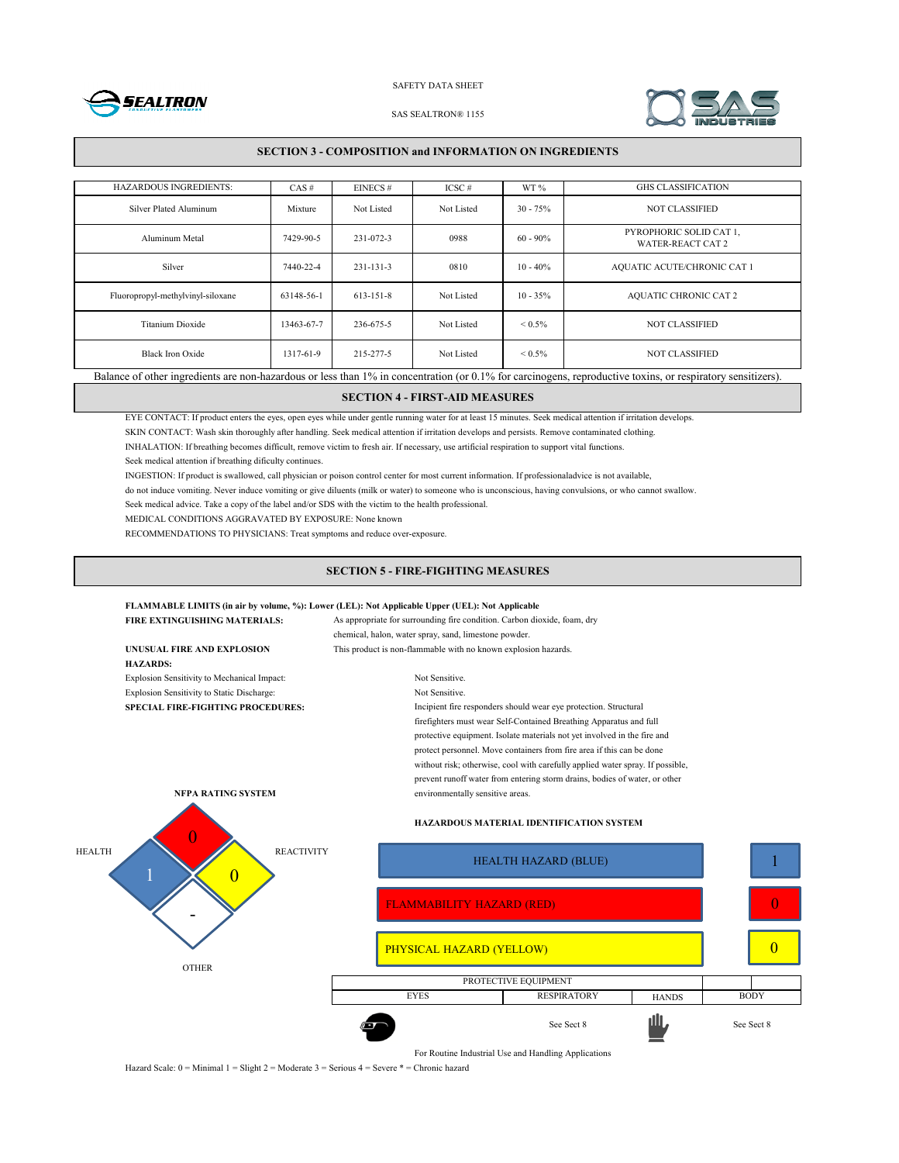



#### SAS SEALTRON® 1155

#### **SECTION 3 - COMPOSITION and INFORMATION ON INGREDIENTS**

| <b>HAZARDOUS INGREDIENTS:</b>                                                                                                                               | CAS#       | EINECS#         | $ICSC \#$  | WT%               | <b>GHS CLASSIFICATION</b>                           |
|-------------------------------------------------------------------------------------------------------------------------------------------------------------|------------|-----------------|------------|-------------------|-----------------------------------------------------|
| Silver Plated Aluminum                                                                                                                                      | Mixture    | Not Listed      | Not Listed | $30 - 75%$        | <b>NOT CLASSIFIED</b>                               |
| Aluminum Metal                                                                                                                                              | 7429-90-5  | 231-072-3       | 0988       | $60 - 90\%$       | PYROPHORIC SOLID CAT 1,<br><b>WATER-REACT CAT 2</b> |
| Silver                                                                                                                                                      | 7440-22-4  | $231 - 131 - 3$ | 0810       | $10 - 40\%$       | AQUATIC ACUTE/CHRONIC CAT 1                         |
| Fluoropropyl-methylvinyl-siloxane                                                                                                                           | 63148-56-1 | $613 - 151 - 8$ | Not Listed | $10 - 35\%$       | <b>AQUATIC CHRONIC CAT 2</b>                        |
| Titanium Dioxide                                                                                                                                            | 13463-67-7 | 236-675-5       | Not Listed | ${}_{\leq 0.5\%}$ | <b>NOT CLASSIFIED</b>                               |
| Black Iron Oxide                                                                                                                                            | 1317-61-9  | 215-277-5       | Not Listed | ${}_{\leq 0.5\%}$ | <b>NOT CLASSIFIED</b>                               |
| Balance of other ingredients are non-hazardous or less than 1% in concentration (or 0.1% for carcinogens, reproductive toxins, or respiratory sensitizers). |            |                 |            |                   |                                                     |

## **SECTION 4 - FIRST-AID MEASURES**

EYE CONTACT: If product enters the eyes, open eyes while under gentle running water for at least 15 minutes. Seek medical attention if irritation develops.

SKIN CONTACT: Wash skin thoroughly after handling. Seek medical attention if irritation develops and persists. Remove contaminated clothing.

INHALATION: If breathing becomes difficult, remove victim to fresh air. If necessary, use artificial respiration to support vital functions.

Seek medical attention if breathing dificulty continues.

INGESTION: If product is swallowed, call physician or poison control center for most current information. If professionaladvice is not available,

do not induce vomiting. Never induce vomiting or give diluents (milk or water) to someone who is unconscious, having convulsions, or who cannot swallow.

Seek medical advice. Take a copy of the label and/or SDS with the victim to the health professional.

MEDICAL CONDITIONS AGGRAVATED BY EXPOSURE: None known

RECOMMENDATIONS TO PHYSICIANS: Treat symptoms and reduce over-exposure.

#### **SECTION 5 - FIRE-FIGHTING MEASURES**

## **FLAMMABLE LIMITS (in air by volume, %): Lower (LEL): Not Applicable Upper (UEL): Not Applicable**

| <b>FIRE EXTINGUISHING MATERIALS:</b>        | As appropriate for surrounding fire condition. Carbon dioxide, foam, dry<br>chemical, halon, water spray, sand, limestone powder.                                                                                                                                                                                                                                                       |  |  |
|---------------------------------------------|-----------------------------------------------------------------------------------------------------------------------------------------------------------------------------------------------------------------------------------------------------------------------------------------------------------------------------------------------------------------------------------------|--|--|
|                                             |                                                                                                                                                                                                                                                                                                                                                                                         |  |  |
| UNUSUAL FIRE AND EXPLOSION                  | This product is non-flammable with no known explosion hazards.                                                                                                                                                                                                                                                                                                                          |  |  |
| <b>HAZARDS:</b>                             |                                                                                                                                                                                                                                                                                                                                                                                         |  |  |
| Explosion Sensitivity to Mechanical Impact: | Not Sensitive.                                                                                                                                                                                                                                                                                                                                                                          |  |  |
| Explosion Sensitivity to Static Discharge:  | Not Sensitive.                                                                                                                                                                                                                                                                                                                                                                          |  |  |
| <b>SPECIAL FIRE-FIGHTING PROCEDURES:</b>    | Incipient fire responders should wear eye protection. Structural                                                                                                                                                                                                                                                                                                                        |  |  |
|                                             | firefighters must wear Self-Contained Breathing Apparatus and full<br>protective equipment. Isolate materials not yet involved in the fire and<br>protect personnel. Move containers from fire area if this can be done<br>without risk; otherwise, cool with carefully applied water spray. If possible,<br>prevent runoff water from entering storm drains, bodies of water, or other |  |  |
| NFPA RATING SYSTEM                          | environmentally sensitive areas.                                                                                                                                                                                                                                                                                                                                                        |  |  |
|                                             | HAZARDOUS MATERIAL IDENTIFICATION SYSTEM                                                                                                                                                                                                                                                                                                                                                |  |  |
| <b>REACTIVITY</b><br><b>HEALTH</b>          | <b>HEALTH HAZARD (BLUE)</b>                                                                                                                                                                                                                                                                                                                                                             |  |  |
|                                             | <b>FLAMMABILITY HAZARD (RED)</b>                                                                                                                                                                                                                                                                                                                                                        |  |  |
|                                             | PHYSICAL HAZARD (YELLOW)                                                                                                                                                                                                                                                                                                                                                                |  |  |
| <b>OTHER</b>                                | PROTECTIVE EQUIPMENT                                                                                                                                                                                                                                                                                                                                                                    |  |  |



**HANDS** 

1

 $\theta$ 

0

See Sect 8 See Sect 8

EYES RESPIRATORY HANDS BODY

Hazard Scale: 0 = Minimal 1 = Slight 2 = Moderate 3 = Serious 4 = Severe \* = Chronic hazard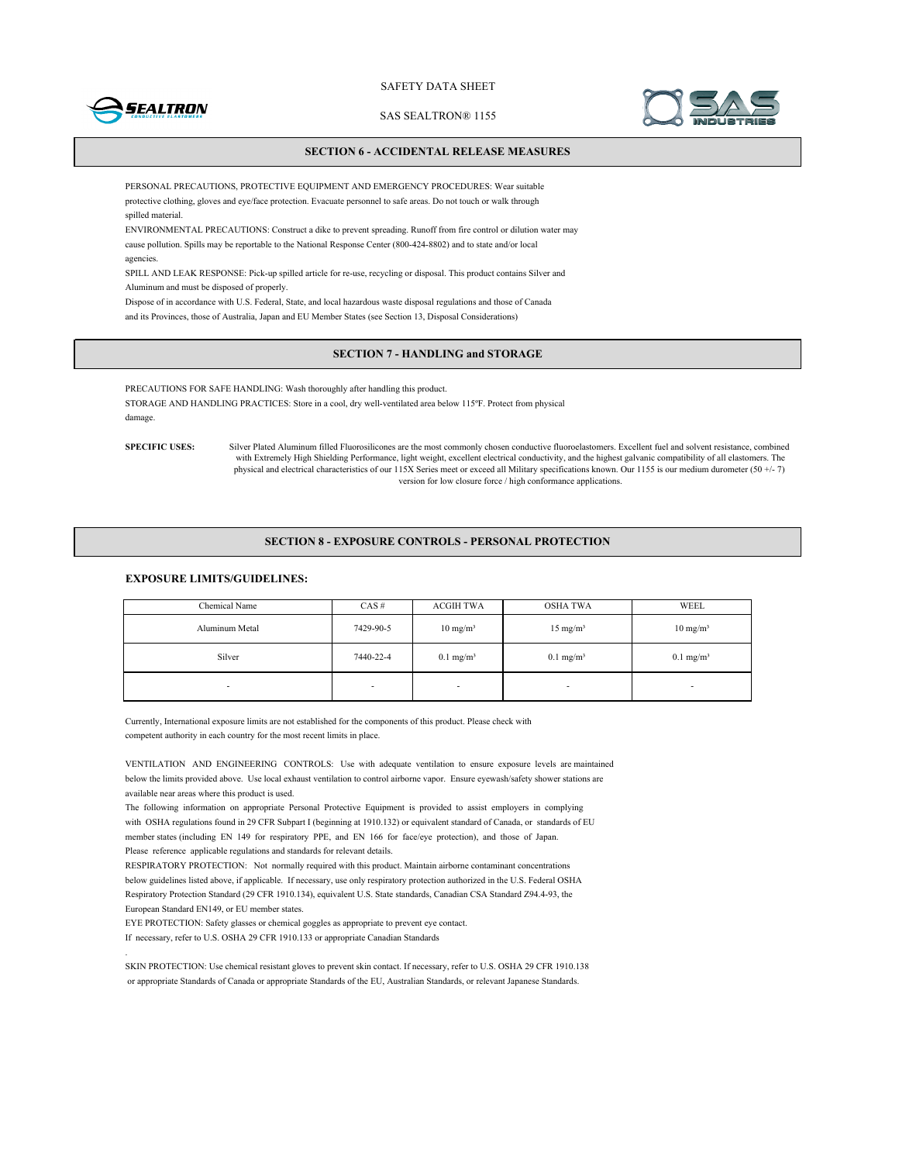

SAS SEALTRON® 1155



#### **SECTION 6 - ACCIDENTAL RELEASE MEASURES**

PERSONAL PRECAUTIONS, PROTECTIVE EQUIPMENT AND EMERGENCY PROCEDURES: Wear suitable protective clothing, gloves and eye/face protection. Evacuate personnel to safe areas. Do not touch or walk through spilled material.

ENVIRONMENTAL PRECAUTIONS: Construct a dike to prevent spreading. Runoff from fire control or dilution water may cause pollution. Spills may be reportable to the National Response Center (800-424-8802) and to state and/or local agencies.

SPILL AND LEAK RESPONSE: Pick-up spilled article for re-use, recycling or disposal. This product contains Silver and Aluminum and must be disposed of properly.

Dispose of in accordance with U.S. Federal, State, and local hazardous waste disposal regulations and those of Canada and its Provinces, those of Australia, Japan and EU Member States (see Section 13, Disposal Considerations)

## **SECTION 7 - HANDLING and STORAGE**

PRECAUTIONS FOR SAFE HANDLING: Wash thoroughly after handling this product. STORAGE AND HANDLING PRACTICES: Store in a cool, dry well-ventilated area below 115ºF. Protect from physical damage.

**SPECIFIC USES:**

.

Silver Plated Aluminum filled Fluorosilicones are the most commonly chosen conductive fluoroelastomers. Excellent fuel and solvent resistance, combined with Extremely High Shielding Performance, light weight, excellent electrical conductivity, and the highest galvanic compatibility of all elastomers. The physical and electrical characteristics of our 115X Series meet or exceed all Military specifications known. Our 1155 is our medium durometer (50 +/- 7) version for low closure force / high conformance applications.

#### **SECTION 8 - EXPOSURE CONTROLS - PERSONAL PROTECTION**

## **EXPOSURE LIMITS/GUIDELINES:**

| Chemical Name  | $CAS \#$  | <b>ACGIH TWA</b>     | OSHA TWA             | WEEL                    |
|----------------|-----------|----------------------|----------------------|-------------------------|
| Aluminum Metal | 7429-90-5 | $10 \text{ mg/m}^3$  | $15 \text{ mg/m}^3$  | $10 \text{ mg/m}^3$     |
| Silver         | 7440-22-4 | $0.1 \text{ mg/m}^3$ | $0.1 \text{ mg/m}^3$ | $0.1$ mg/m <sup>3</sup> |
| ۰              | ۰         |                      | $\blacksquare$       | -                       |

Currently, International exposure limits are not established for the components of this product. Please check with competent authority in each country for the most recent limits in place.

VENTILATION AND ENGINEERING CONTROLS: Use with adequate ventilation to ensure exposure levels are maintained below the limits provided above. Use local exhaust ventilation to control airborne vapor. Ensure eyewash/safety shower stations are available near areas where this product is used.

The following information on appropriate Personal Protective Equipment is provided to assist employers in complying with OSHA regulations found in 29 CFR Subpart I (beginning at 1910.132) or equivalent standard of Canada, or standards of EU member states (including EN 149 for respiratory PPE, and EN 166 for face/eye protection), and those of Japan. Please reference applicable regulations and standards for relevant details.

RESPIRATORY PROTECTION: Not normally required with this product. Maintain airborne contaminant concentrations below guidelines listed above, if applicable. If necessary, use only respiratory protection authorized in the U.S. Federal OSHA Respiratory Protection Standard (29 CFR 1910.134), equivalent U.S. State standards, Canadian CSA Standard Z94.4-93, the European Standard EN149, or EU member states.

EYE PROTECTION: Safety glasses or chemical goggles as appropriate to prevent eye contact.

If necessary, refer to U.S. OSHA 29 CFR 1910.133 or appropriate Canadian Standards

SKIN PROTECTION: Use chemical resistant gloves to prevent skin contact. If necessary, refer to U.S. OSHA 29 CFR 1910.138 or appropriate Standards of Canada or appropriate Standards of the EU, Australian Standards, or relevant Japanese Standards.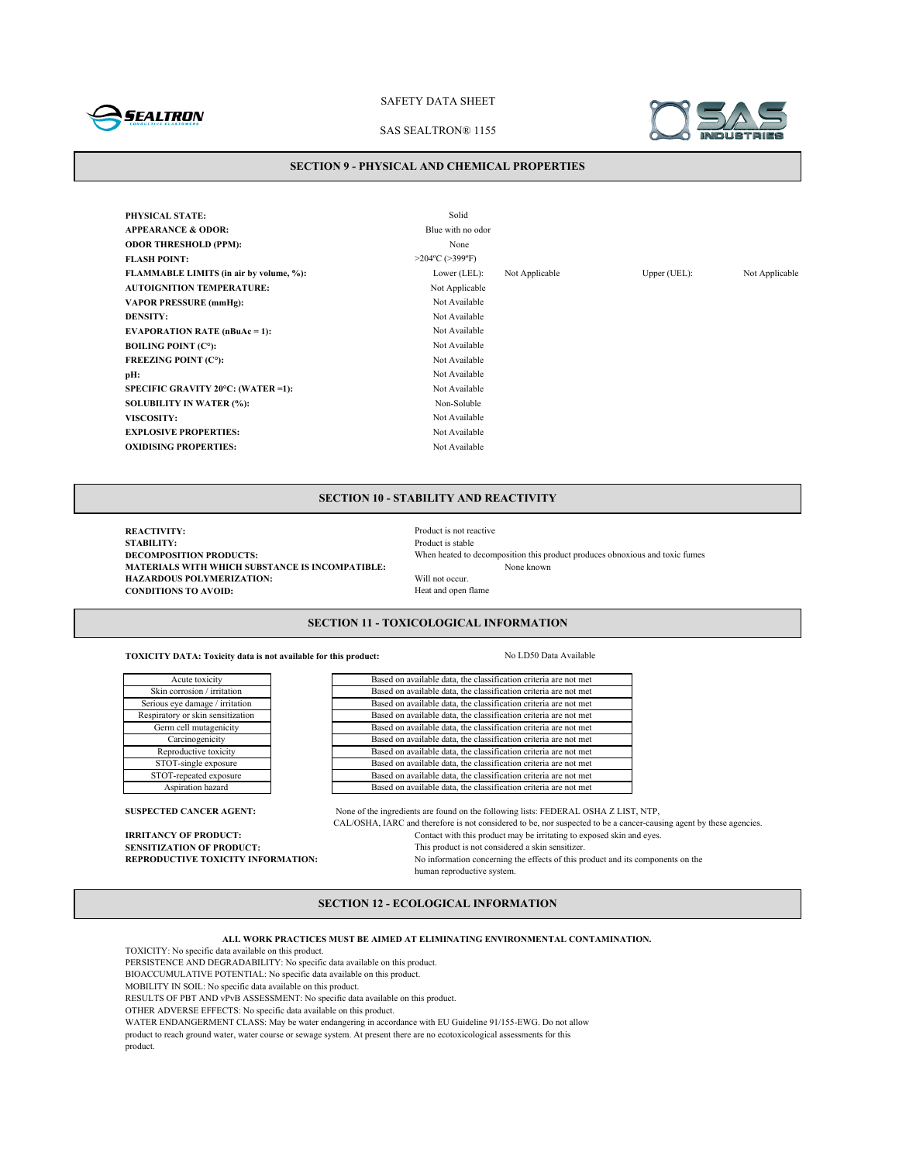

#### SAS SEALTRON® 1155



### **SECTION 9 - PHYSICAL AND CHEMICAL PROPERTIES**

| PHYSICAL STATE:                           | Solid                  |                |              |                |
|-------------------------------------------|------------------------|----------------|--------------|----------------|
| <b>APPEARANCE &amp; ODOR:</b>             | Blue with no odor      |                |              |                |
| <b>ODOR THRESHOLD (PPM):</b>              | None                   |                |              |                |
| <b>FLASH POINT:</b>                       | $>204$ °C ( $>399$ °F) |                |              |                |
| FLAMMABLE LIMITS (in air by volume, %):   | Lower $(LEL)$ :        | Not Applicable | Upper (UEL): | Not Applicable |
| <b>AUTOIGNITION TEMPERATURE:</b>          | Not Applicable         |                |              |                |
| <b>VAPOR PRESSURE (mmHg):</b>             | Not Available          |                |              |                |
| <b>DENSITY:</b>                           | Not Available          |                |              |                |
| <b>EVAPORATION RATE (nBuAc = 1):</b>      | Not Available          |                |              |                |
| <b>BOILING POINT (C°):</b>                | Not Available          |                |              |                |
| <b>FREEZING POINT (C°):</b>               | Not Available          |                |              |                |
| pH:                                       | Not Available          |                |              |                |
| <b>SPECIFIC GRAVITY 20°C: (WATER =1):</b> | Not Available          |                |              |                |
| <b>SOLUBILITY IN WATER (%):</b>           | Non-Soluble            |                |              |                |
| <b>VISCOSITY:</b>                         | Not Available          |                |              |                |
| <b>EXPLOSIVE PROPERTIES:</b>              | Not Available          |                |              |                |
| <b>OXIDISING PROPERTIES:</b>              | Not Available          |                |              |                |
|                                           |                        |                |              |                |

## **SECTION 10 - STABILITY AND REACTIVITY**

**REACTIVITY:** Product is not reactive **STABILITY:** Product is stable **STABILITY:** Product is stable<br>DECOMPOSITION PRODUCTS: When heated to when heated to a stable **MATERIALS WITH WHICH SUBSTANCE IS INCOMPATIBLE:**<br> **HAZARDOUS POLYMERIZATION:** Will not occur. **HAZARDOUS POLYMERIZATION:** Will not occur.<br> **CONDITIONS TO AVOID:** Heat and open flame **CONDITIONS TO AVOID:** 

When heated to decomposition this product produces obnoxious and toxic fumes<br>None known

## **SECTION 11 - TOXICOLOGICAL INFORMATION**

**TOXICITY DATA: Toxicity data is not available for this product:** No LD50 Data Available

Based on available data, the classification criteria are not met

| Acute toxicity                    |  |  |  |
|-----------------------------------|--|--|--|
| Skin corrosion / irritation       |  |  |  |
| Serious eye damage / irritation   |  |  |  |
| Respiratory or skin sensitization |  |  |  |
| Germ cell mutagenicity            |  |  |  |
| Carcinogenicity                   |  |  |  |
| Reproductive toxicity             |  |  |  |
| STOT-single exposure              |  |  |  |
| STOT-repeated exposure            |  |  |  |
| Aspiration hazard                 |  |  |  |
|                                   |  |  |  |

product.

Based on available data, the classification criteria are not met Based on available data, the classification criteria are not met Based on available data, the classification criteria are not met Based on available data, the classification criteria are not met Based on available data, the classification criteria are not met Based on available data, the classification criteria are not met Based on available data, the classification criteria are not met Based on available data, the classification criteria are not met Based on available data, the classification criteria are not met

SUSPECTED CANCER AGENT: None of the ingredients are found on the following lists: FEDERAL OSHA Z LIST, NTP, CAL/OSHA, IARC and therefore is not considered to be, nor suspected to be a cancer-causing agent by these agencies. **IRRITANCY OF PRODUCT:** Contact with this product may be irritating to exposed skin and eyes.<br> **SENSITIZATION OF PRODUCT:** This product is not considered a skin sensitizer. **SENSITIZATION OF PRODUCT:**<br> **REPRODUCTIVE TOXICITY INFORMATION:** No information concerning the effects of this product is not considered a skin sensitizer. No information concerning the effects of this product and its components on the human reproductive system.

## **SECTION 12 - ECOLOGICAL INFORMATION**

**ALL WORK PRACTICES MUST BE AIMED AT ELIMINATING ENVIRONMENTAL CONTAMINATION.**

TOXICITY: No specific data available on this product.

PERSISTENCE AND DEGRADABILITY: No specific data available on this product.

BIOACCUMULATIVE POTENTIAL: No specific data available on this product.

MOBILITY IN SOIL: No specific data available on this product.

RESULTS OF PBT AND vPvB ASSESSMENT: No specific data available on this product.

OTHER ADVERSE EFFECTS: No specific data available on this product.

WATER ENDANGERMENT CLASS: May be water endangering in accordance with EU Guideline 91/155-EWG. Do not allow

product to reach ground water, water course or sewage system. At present there are no ecotoxicological assessments for this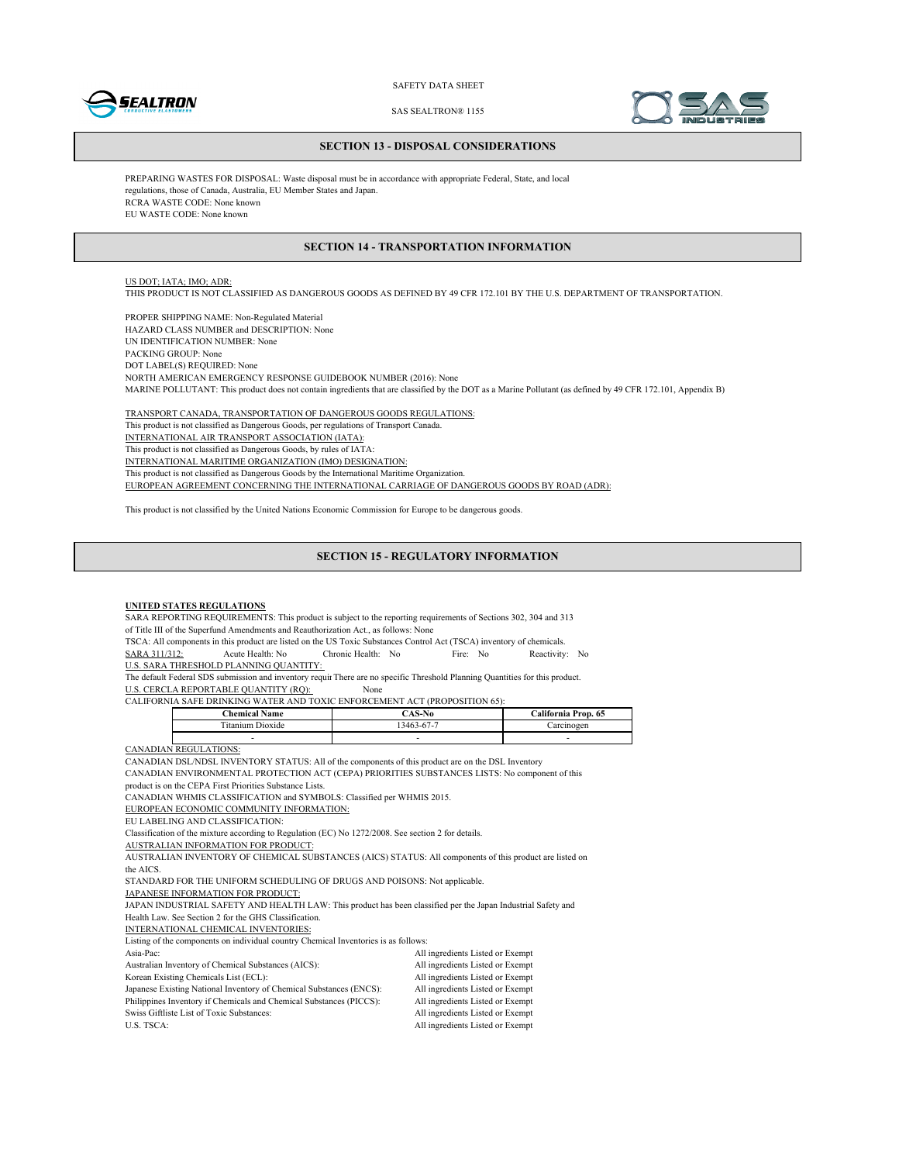



SAS SEALTRON® 1155

#### **SECTION 13 - DISPOSAL CONSIDERATIONS**

PREPARING WASTES FOR DISPOSAL: Waste disposal must be in accordance with appropriate Federal, State, and local regulations, those of Canada, Australia, EU Member States and Japan. RCRA WASTE CODE: None known EU WASTE CODE: None known

#### **SECTION 14 - TRANSPORTATION INFORMATION**

## US DOT; IATA; IMO; ADR:

THIS PRODUCT IS NOT CLASSIFIED AS DANGEROUS GOODS AS DEFINED BY 49 CFR 172.101 BY THE U.S. DEPARTMENT OF TRANSPORTATION.

PROPER SHIPPING NAME: Non-Regulated Material HAZARD CLASS NUMBER and DESCRIPTION: None UN IDENTIFICATION NUMBER: None PACKING GROUP: None DOT LABEL(S) REQUIRED: None NORTH AMERICAN EMERGENCY RESPONSE GUIDEBOOK NUMBER (2016): None MARINE POLLUTANT: This product does not contain ingredients that are classified by the DOT as a Marine Pollutant (as defined by 49 CFR 172.101, Appendix B)

TRANSPORT CANADA, TRANSPORTATION OF DANGEROUS GOODS REGULATIONS: This product is not classified as Dangerous Goods, per regulations of Transport Canada. INTERNATIONAL AIR TRANSPORT ASSOCIATION (IATA): This product is not classified as Dangerous Goods, by rules of IATA: INTERNATIONAL MARITIME ORGANIZATION (IMO) DESIGNATION: This product is not classified as Dangerous Goods by the International Maritime Organization. EUROPEAN AGREEMENT CONCERNING THE INTERNATIONAL CARRIAGE OF DANGEROUS GOODS BY ROAD (ADR):

This product is not classified by the United Nations Economic Commission for Europe to be dangerous goods.

#### **SECTION 15 - REGULATORY INFORMATION**

#### **UNITED STATES REGULATIONS**

SARA REPORTING REQUIREMENTS: This product is subject to the reporting requirements of Sections 302, 304 and 313 of Title III of the Superfund Amendments and Reauthorization Act., as follows: None

TSCA: All components in this product are listed on the US Toxic Substances Control Act (TSCA) inventory of chemicals.<br>
SARA 311/312: Acute Health: No Fire: No Reactivity SARA 311/312: Acute Health: No Chronic Health: No Fire: No Reactivity: No

U.S. SARA THRESHOLD PLANNING QUANTITY:

The default Federal SDS submission and inventory requir There are no specific Threshold Planning Quantities for this product.

U.S. CERCLA REPORTABLE QUANTITY (RQ): None

CALIFORNIA SAFE DRINKING WATER AND TOXIC ENFORCEMENT ACT (PROPOSITION 65):

| <b>Chemical Name</b> | `AS-No    | California Prop. 65 |
|----------------------|-----------|---------------------|
| Dioxide              | 3463-67-7 | mogen               |
|                      |           | -                   |

CANADIAN REGULATIONS:

CANADIAN DSL/NDSL INVENTORY STATUS: All of the components of this product are on the DSL Inventory

CANADIAN ENVIRONMENTAL PROTECTION ACT (CEPA) PRIORITIES SUBSTANCES LISTS: No component of this

product is on the CEPA First Priorities Substance Lists.

CANADIAN WHMIS CLASSIFICATION and SYMBOLS: Classified per WHMIS 2015.

EUROPEAN ECONOMIC COMMUNITY INFORMATION:

EU LABELING AND CLASSIFICATION:

Classification of the mixture according to Regulation (EC) No 1272/2008. See section 2 for details.

AUSTRALIAN INFORMATION FOR PRODUCT:

AUSTRALIAN INVENTORY OF CHEMICAL SUBSTANCES (AICS) STATUS: All components of this product are listed on the AICS.

STANDARD FOR THE UNIFORM SCHEDULING OF DRUGS AND POISONS: Not applicable.

JAPANESE INFORMATION FOR PRODUCT:

JAPAN INDUSTRIAL SAFETY AND HEALTH LAW: This product has been classified per the Japan Industrial Safety and Health Law. See Section 2 for the GHS Classification.

INTERNATIONAL CHEMICAL INVENTORIES:

Listing of the components on individual country Chemical Inventories is as follows:

| Libring of the components on marviguar country enemical inventories is as follows. |                                  |
|------------------------------------------------------------------------------------|----------------------------------|
| Asia-Pac:                                                                          | All ingredients Listed or Exempt |
| Australian Inventory of Chemical Substances (AICS):                                | All ingredients Listed or Exempt |
| Korean Existing Chemicals List (ECL):                                              | All ingredients Listed or Exempt |
| Japanese Existing National Inventory of Chemical Substances (ENCS):                | All ingredients Listed or Exempt |
| Philippines Inventory if Chemicals and Chemical Substances (PICCS):                | All ingredients Listed or Exempt |
| Swiss Giftliste List of Toxic Substances:                                          | All ingredients Listed or Exempt |
| U.S. TSCA:                                                                         | All ingredients Listed or Exempt |
|                                                                                    |                                  |